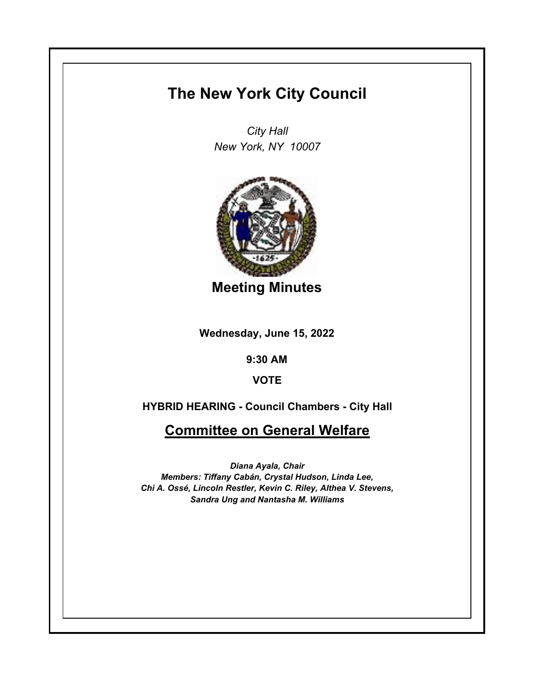## **The New York City Council**

*City Hall New York, NY 10007*



**Meeting Minutes**

**Wednesday, June 15, 2022**

**9:30 AM**

**VOTE**

**HYBRID HEARING - Council Chambers - City Hall**

**Committee on General Welfare**

*Diana Ayala, Chair Members: Tiffany Cabán, Crystal Hudson, Linda Lee, Chi A. Ossé, Lincoln Restler, Kevin C. Riley, Althea V. Stevens, Sandra Ung and Nantasha M. Williams*